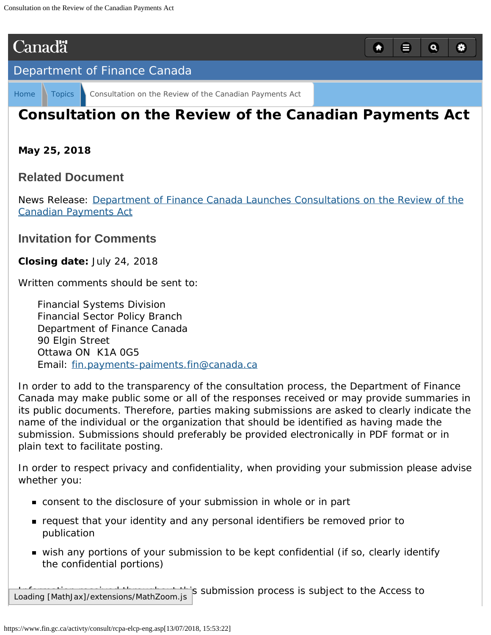# <span id="page-0-0"></span>**Canadä**

### [Department of Finance Canada](https://www.fin.gc.ca/fin-eng.asp)

[Home](http://www.fin.gc.ca/fin-eng.asp) [Topics](https://www.fin.gc.ca/act/index-eng.asp) [Consultation on the Review of the Canadian Payments Act](#page-0-0)

# **Consultation on the Review of the** *Canadian Payments Act*

Q

目

 $\alpha$ 

O

**May 25, 2018**

### **Related Document**

News Release: [Department of Finance Canada Launches Consultations on the Review of the](https://www.fin.gc.ca/n18/18-036-eng.asp) *[Canadian Payments Act](https://www.fin.gc.ca/n18/18-036-eng.asp)*

## **Invitation for Comments**

**Closing date:** July 24, 2018

Written comments should be sent to:

Financial Systems Division Financial Sector Policy Branch Department of Finance Canada 90 Elgin Street Ottawa ON K1A 0G5 Email: [fin.payments-paiments.fin@canada.ca](mailto:fin.payments-paiments.fin@canada.ca)

In order to add to the transparency of the consultation process, the Department of Finance Canada may make public some or all of the responses received or may provide summaries in its public documents. Therefore, parties making submissions are asked to clearly indicate the name of the individual or the organization that should be identified as having made the submission. Submissions should preferably be provided electronically in PDF format or in plain text to facilitate posting.

In order to respect privacy and confidentiality, when providing your submission please advise whether you:

- consent to the disclosure of your submission in whole or in part
- request that your identity and any personal identifiers be removed prior to publication
- wish any portions of your submission to be kept confidential (if so, clearly identify the confidential portions)

is submission process is subject to the Access to Loading [MathJax]/extensions/MathZoom.js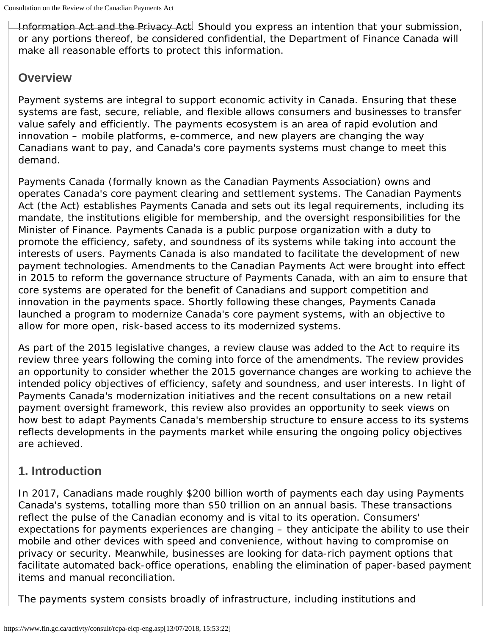Information Act and the Privacy Act. Should you express an intention that your submission, or any portions thereof, be considered confidential, the Department of Finance Canada will make all reasonable efforts to protect this information.

# **Overview**

Payment systems are integral to support economic activity in Canada. Ensuring that these systems are fast, secure, reliable, and flexible allows consumers and businesses to transfer value safely and efficiently. The payments ecosystem is an area of rapid evolution and innovation – mobile platforms, e-commerce, and new players are changing the way Canadians want to pay, and Canada's core payments systems must change to meet this demand.

Payments Canada (formally known as the Canadian Payments Association) owns and operates Canada's core payment clearing and settlement systems. The *Canadian Payments Act* (the Act) establishes Payments Canada and sets out its legal requirements, including its mandate, the institutions eligible for membership, and the oversight responsibilities for the Minister of Finance. Payments Canada is a public purpose organization with a duty to promote the efficiency, safety, and soundness of its systems while taking into account the interests of users. Payments Canada is also mandated to facilitate the development of new payment technologies. Amendments to the *Canadian Payments Act* were brought into effect in 2015 to reform the governance structure of Payments Canada, with an aim to ensure that core systems are operated for the benefit of Canadians and support competition and innovation in the payments space. Shortly following these changes, Payments Canada launched a program to modernize Canada's core payment systems, with an objective to allow for more open, risk-based access to its modernized systems.

As part of the 2015 legislative changes, a review clause was added to the Act to require its review three years following the coming into force of the amendments. The review provides an opportunity to consider whether the 2015 governance changes are working to achieve the intended policy objectives of efficiency, safety and soundness, and user interests. In light of Payments Canada's modernization initiatives and the recent consultations on a new retail payment oversight framework, this review also provides an opportunity to seek views on how best to adapt Payments Canada's membership structure to ensure access to its systems reflects developments in the payments market while ensuring the ongoing policy objectives are achieved.

# **1. Introduction**

In 2017, Canadians made roughly \$200 billion worth of payments each day using Payments Canada's systems, totalling more than \$50 trillion on an annual basis. These transactions reflect the pulse of the Canadian economy and is vital to its operation. Consumers' expectations for payments experiences are changing – they anticipate the ability to use their mobile and other devices with speed and convenience, without having to compromise on privacy or security. Meanwhile, businesses are looking for data-rich payment options that facilitate automated back-office operations, enabling the elimination of paper-based payment items and manual reconciliation.

The payments system consists broadly of infrastructure, including institutions and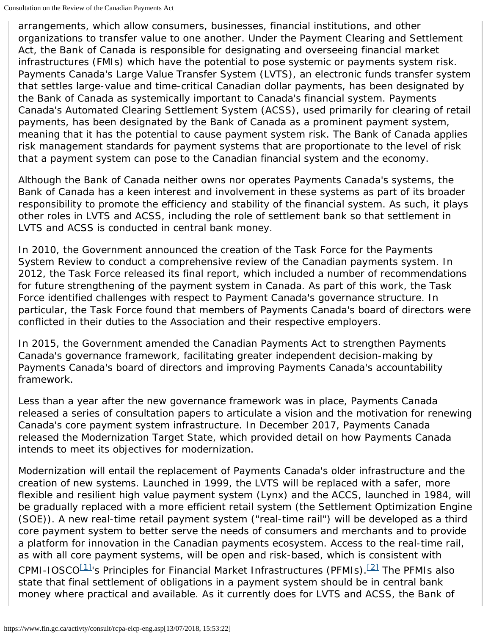arrangements, which allow consumers, businesses, financial institutions, and other organizations to transfer value to one another. Under the *Payment Clearing and Settlement Act*, the Bank of Canada is responsible for designating and overseeing financial market infrastructures (FMIs) which have the potential to pose systemic or payments system risk. Payments Canada's Large Value Transfer System (LVTS), an electronic funds transfer system that settles large-value and time-critical Canadian dollar payments, has been designated by the Bank of Canada as systemically important to Canada's financial system. Payments Canada's Automated Clearing Settlement System (ACSS), used primarily for clearing of retail payments, has been designated by the Bank of Canada as a prominent payment system, meaning that it has the potential to cause payment system risk. The Bank of Canada applies risk management standards for payment systems that are proportionate to the level of risk that a payment system can pose to the Canadian financial system and the economy.

Although the Bank of Canada neither owns nor operates Payments Canada's systems, the Bank of Canada has a keen interest and involvement in these systems as part of its broader responsibility to promote the efficiency and stability of the financial system. As such, it plays other roles in LVTS and ACSS, including the role of settlement bank so that settlement in LVTS and ACSS is conducted in central bank money.

In 2010, the Government announced the creation of the Task Force for the Payments System Review to conduct a comprehensive review of the Canadian payments system. In 2012, the Task Force released its final report, which included a number of recommendations for future strengthening of the payment system in Canada. As part of this work, the Task Force identified challenges with respect to Payment Canada's governance structure. In particular, the Task Force found that members of Payments Canada's board of directors were conflicted in their duties to the Association and their respective employers.

In 2015, the Government amended the *Canadian Payments Act* to strengthen Payments Canada's governance framework, facilitating greater independent decision-making by Payments Canada's board of directors and improving Payments Canada's accountability framework.

Less than a year after the new governance framework was in place, Payments Canada released a series of consultation papers to articulate a vision and the motivation for renewing Canada's core payment system infrastructure. In December 2017, Payments Canada released the *Modernization Target State,* which provided detail on how Payments Canada intends to meet its objectives for modernization.

Modernization will entail the replacement of Payments Canada's older infrastructure and the creation of new systems. Launched in 1999, the LVTS will be replaced with a safer, more flexible and resilient high value payment system (Lynx) and the ACCS, launched in 1984, will be gradually replaced with a more efficient retail system (the Settlement Optimization Engine (SOE)). A new real-time retail payment system ("real-time rail") will be developed as a third core payment system to better serve the needs of consumers and merchants and to provide a platform for innovation in the Canadian payments ecosystem. Access to the real-time rail, as with all core payment systems, will be open and risk-based, which is consistent with CPMI-IOSCO $[1]$ 's Principles for Financial Market Infrastructures (PFMIs).<sup>[2]</sup> The PFMIs also state that final settlement of obligations in a payment system should be in central bank money where practical and available. As it currently does for LVTS and ACSS, the Bank of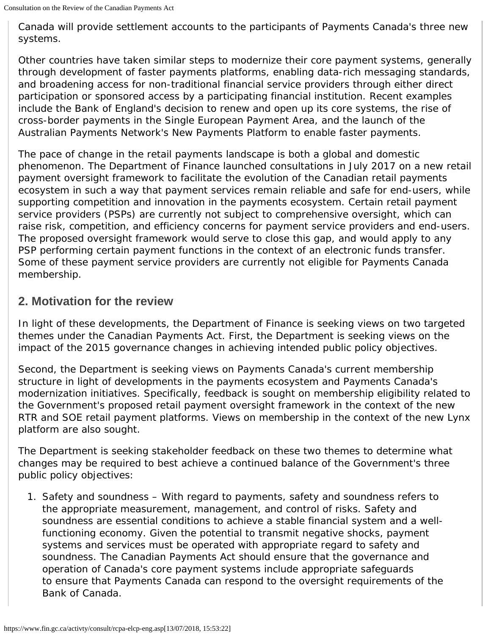Canada will provide settlement accounts to the participants of Payments Canada's three new systems.

Other countries have taken similar steps to modernize their core payment systems, generally through development of faster payments platforms, enabling data-rich messaging standards, and broadening access for non-traditional financial service providers through either direct participation or sponsored access by a participating financial institution. Recent examples include the Bank of England's decision to renew and open up its core systems, the rise of cross-border payments in the Single European Payment Area, and the launch of the Australian Payments Network's New Payments Platform to enable faster payments.

The pace of change in the retail payments landscape is both a global and domestic phenomenon. The Department of Finance launched consultations in July 2017 on a new retail payment oversight framework to facilitate the evolution of the Canadian retail payments ecosystem in such a way that payment services remain reliable and safe for end-users, while supporting competition and innovation in the payments ecosystem. Certain retail payment service providers (PSPs) are currently not subject to comprehensive oversight, which can raise risk, competition, and efficiency concerns for payment service providers and end-users. The proposed oversight framework would serve to close this gap, and would apply to any PSP performing certain payment functions in the context of an electronic funds transfer. Some of these payment service providers are currently not eligible for Payments Canada membership.

# **2. Motivation for the review**

In light of these developments, the Department of Finance is seeking views on two targeted themes under the *Canadian Payments Act.* First, the Department is seeking views on the impact of the 2015 governance changes in achieving intended public policy objectives.

Second, the Department is seeking views on Payments Canada's current membership structure in light of developments in the payments ecosystem and Payments Canada's modernization initiatives. Specifically, feedback is sought on membership eligibility related to the Government's proposed retail payment oversight framework in the context of the new RTR and SOE retail payment platforms. Views on membership in the context of the new Lynx platform are also sought.

The Department is seeking stakeholder feedback on these two themes to determine what changes may be required to best achieve a continued balance of the Government's three public policy objectives:

1. *Safety and soundness –* With regard to payments, safety and soundness refers to the appropriate measurement, management, and control of risks. Safety and soundness are essential conditions to achieve a stable financial system and a wellfunctioning economy. Given the potential to transmit negative shocks, payment systems and services must be operated with appropriate regard to safety and soundness. The *Canadian Payments Act* should ensure that the governance and operation of Canada's core payment systems include appropriate safeguards to ensure that Payments Canada can respond to the oversight requirements of the Bank of Canada.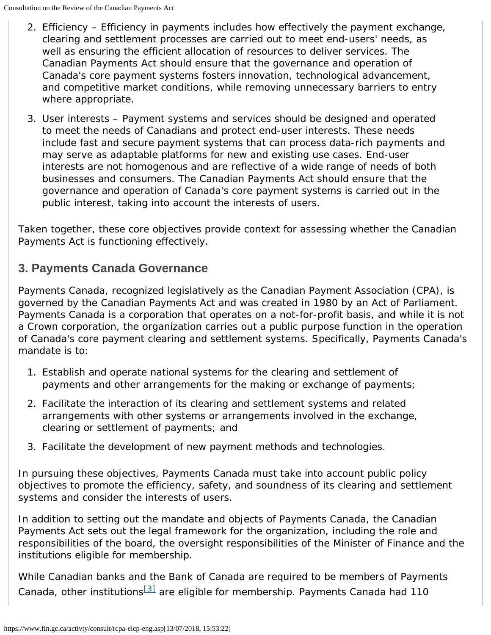- 2. *Efficiency* Efficiency in payments includes how effectively the payment exchange, clearing and settlement processes are carried out to meet end-users' needs, as well as ensuring the efficient allocation of resources to deliver services. The *Canadian Payments Act* should ensure that the governance and operation of Canada's core payment systems fosters innovation, technological advancement, and competitive market conditions, while removing unnecessary barriers to entry where appropriate.
- 3. *User interests –* Payment systems and services should be designed and operated to meet the needs of Canadians and protect end-user interests. These needs include fast and secure payment systems that can process data-rich payments and may serve as adaptable platforms for new and existing use cases. End-user interests are not homogenous and are reflective of a wide range of needs of both businesses and consumers. The *Canadian Payments Act* should ensure that the governance and operation of Canada's core payment systems is carried out in the public interest, taking into account the interests of users.

Taken together, these core objectives provide context for assessing whether the *Canadian Payments Act* is functioning effectively.

# **3. Payments Canada Governance**

Payments Canada, recognized legislatively as the Canadian Payment Association (CPA), is governed by the *Canadian Payments Act* and was created in 1980 by an Act of Parliament. Payments Canada is a corporation that operates on a not-for-profit basis, and while it is not a Crown corporation, the organization carries out a public purpose function in the operation of Canada's core payment clearing and settlement systems. Specifically, Payments Canada's mandate is to:

- 1. Establish and operate national systems for the clearing and settlement of payments and other arrangements for the making or exchange of payments;
- 2. Facilitate the interaction of its clearing and settlement systems and related arrangements with other systems or arrangements involved in the exchange, clearing or settlement of payments; and
- 3. Facilitate the development of new payment methods and technologies.

In pursuing these objectives, Payments Canada must take into account public policy objectives to promote the efficiency, safety, and soundness of its clearing and settlement systems and consider the interests of users.

In addition to setting out the mandate and objects of Payments Canada, the *Canadian Payments Act* sets out the legal framework for the organization, including the role and responsibilities of the board, the oversight responsibilities of the Minister of Finance and the institutions eligible for membership.

While Canadian banks and the Bank of Canada are required to be members of Payments Canada, other institutions<sup>[\[3\]](#page-15-2)</sup> are eligible for membership. Payments Canada had 110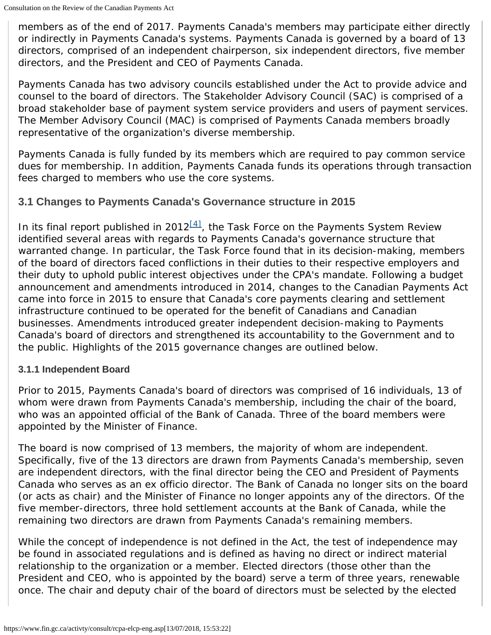members as of the end of 2017. Payments Canada's members may participate either directly or indirectly in Payments Canada's systems. Payments Canada is governed by a board of 13 directors, comprised of an independent chairperson, six independent directors, five member directors, and the President and CEO of Payments Canada.

Payments Canada has two advisory councils established under the Act to provide advice and counsel to the board of directors. The Stakeholder Advisory Council (SAC) is comprised of a broad stakeholder base of payment system service providers and users of payment services. The Member Advisory Council (MAC) is comprised of Payments Canada members broadly representative of the organization's diverse membership.

Payments Canada is fully funded by its members which are required to pay common service dues for membership. In addition, Payments Canada funds its operations through transaction fees charged to members who use the core systems.

### **3.1 Changes to Payments Canada's Governance structure in 2015**

In its final report published in  $2012^{[4]}$ , the Task Force on the Payments System Review identified several areas with regards to Payments Canada's governance structure that warranted change. In particular, the Task Force found that in its decision-making, members of the board of directors faced conflictions in their duties to their respective employers and their duty to uphold public interest objectives under the CPA's mandate. Following a budget announcement and amendments introduced in 2014, changes to the *Canadian Payments Act* came into force in 2015 to ensure that Canada's core payments clearing and settlement infrastructure continued to be operated for the benefit of Canadians and Canadian businesses. Amendments introduced greater independent decision-making to Payments Canada's board of directors and strengthened its accountability to the Government and to the public. Highlights of the 2015 governance changes are outlined below.

#### **3.1.1 Independent Board**

Prior to 2015, Payments Canada's board of directors was comprised of 16 individuals, 13 of whom were drawn from Payments Canada's membership, including the chair of the board, who was an appointed official of the Bank of Canada. Three of the board members were appointed by the Minister of Finance.

The board is now comprised of 13 members, the majority of whom are independent. Specifically, five of the 13 directors are drawn from Payments Canada's membership, seven are independent directors, with the final director being the CEO and President of Payments Canada who serves as an *ex officio* director. The Bank of Canada no longer sits on the board (or acts as chair) and the Minister of Finance no longer appoints any of the directors. Of the five member-directors, three hold settlement accounts at the Bank of Canada, while the remaining two directors are drawn from Payments Canada's remaining members.

While the concept of independence is not defined in the Act, the test of independence may be found in associated regulations and is defined as having no direct or indirect material relationship to the organization or a member. Elected directors (those other than the President and CEO, who is appointed by the board) serve a term of three years, renewable once. The chair and deputy chair of the board of directors must be selected by the elected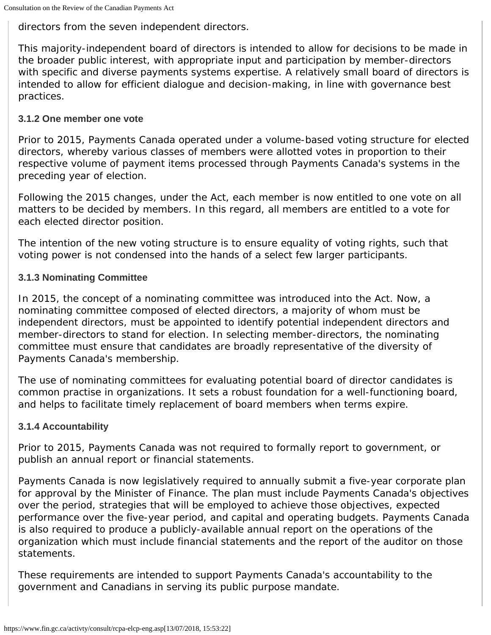directors from the seven independent directors.

This majority-independent board of directors is intended to allow for decisions to be made in the broader public interest, with appropriate input and participation by member-directors with specific and diverse payments systems expertise. A relatively small board of directors is intended to allow for efficient dialogue and decision-making, in line with governance best practices.

#### **3.1.2 One member one vote**

Prior to 2015, Payments Canada operated under a volume-based voting structure for elected directors, whereby various classes of members were allotted votes in proportion to their respective volume of payment items processed through Payments Canada's systems in the preceding year of election.

Following the 2015 changes, under the Act, each member is now entitled to one vote on all matters to be decided by members. In this regard, all members are entitled to a vote for each elected director position.

The intention of the new voting structure is to ensure equality of voting rights, such that voting power is not condensed into the hands of a select few larger participants.

#### **3.1.3 Nominating Committee**

In 2015, the concept of a nominating committee was introduced into the Act. Now, a nominating committee composed of elected directors, a majority of whom must be independent directors, must be appointed to identify potential independent directors and member-directors to stand for election. In selecting member-directors, the nominating committee must ensure that candidates are broadly representative of the diversity of Payments Canada's membership.

The use of nominating committees for evaluating potential board of director candidates is common practise in organizations. It sets a robust foundation for a well-functioning board, and helps to facilitate timely replacement of board members when terms expire.

#### **3.1.4 Accountability**

Prior to 2015, Payments Canada was not required to formally report to government, or publish an annual report or financial statements.

Payments Canada is now legislatively required to annually submit a five-year corporate plan for approval by the Minister of Finance. The plan must include Payments Canada's objectives over the period, strategies that will be employed to achieve those objectives, expected performance over the five-year period, and capital and operating budgets. Payments Canada is also required to produce a publicly-available annual report on the operations of the organization which must include financial statements and the report of the auditor on those statements.

These requirements are intended to support Payments Canada's accountability to the government and Canadians in serving its public purpose mandate.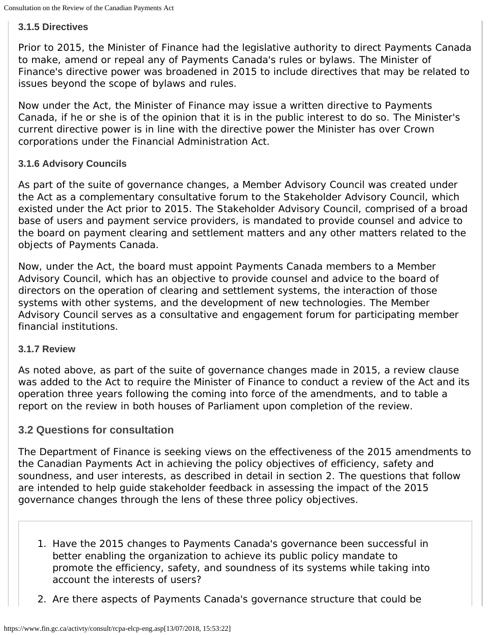#### **3.1.5 Directives**

Prior to 2015, the Minister of Finance had the legislative authority to direct Payments Canada to make, amend or repeal any of Payments Canada's rules or bylaws. The Minister of Finance's directive power was broadened in 2015 to include directives that may be related to issues beyond the scope of bylaws and rules.

Now under the Act, the Minister of Finance may issue a written directive to Payments Canada, if he or she is of the opinion that it is in the public interest to do so. The Minister's current directive power is in line with the directive power the Minister has over Crown corporations under the *Financial Administration Act.*

#### **3.1.6 Advisory Councils**

As part of the suite of governance changes, a Member Advisory Council was created under the Act as a complementary consultative forum to the Stakeholder Advisory Council, which existed under the Act prior to 2015. The Stakeholder Advisory Council, comprised of a broad base of users and payment service providers, is mandated to provide counsel and advice to the board on payment clearing and settlement matters and any other matters related to the objects of Payments Canada.

Now, under the Act, the board must appoint Payments Canada members to a Member Advisory Council, which has an objective to provide counsel and advice to the board of directors on the operation of clearing and settlement systems, the interaction of those systems with other systems, and the development of new technologies. The Member Advisory Council serves as a consultative and engagement forum for participating member financial institutions.

#### **3.1.7 Review**

As noted above, as part of the suite of governance changes made in 2015, a review clause was added to the Act to require the Minister of Finance to conduct a review of the Act and its operation three years following the coming into force of the amendments, and to table a report on the review in both houses of Parliament upon completion of the review.

#### **3.2 Questions for consultation**

The Department of Finance is seeking views on the effectiveness of the 2015 amendments to the *Canadian Payments Act* in achieving the policy objectives of efficiency, safety and soundness, and user interests, as described in detail in section 2. The questions that follow are intended to help guide stakeholder feedback in assessing the impact of the 2015 governance changes through the lens of these three policy objectives.

- 1. *Have the 2015 changes to Payments Canada's governance been successful in better enabling the organization to achieve its public policy mandate to promote the efficiency, safety, and soundness of its systems while taking into account the interests of users?*
- 2. *Are there aspects of Payments Canada's governance structure that could be*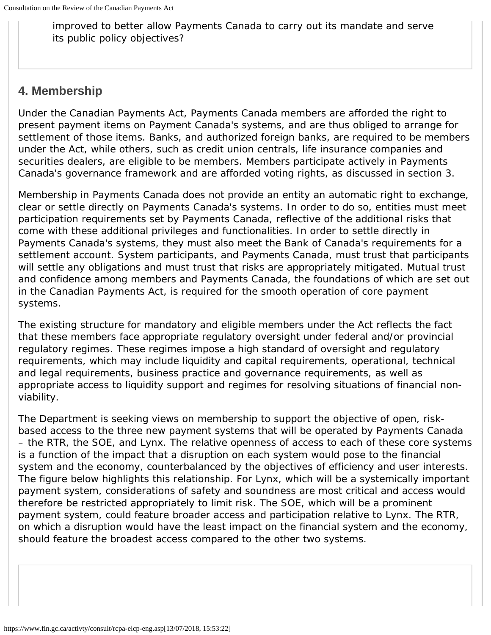*improved to better allow Payments Canada to carry out its mandate and serve its public policy objectives?*

# **4. Membership**

Under the *Canadian Payments Act*, Payments Canada members are afforded the right to present payment items on Payment Canada's systems, and are thus obliged to arrange for settlement of those items. Banks, and authorized foreign banks, are required to be members under the Act, while others, such as credit union centrals, life insurance companies and securities dealers, are eligible to be members. Members participate actively in Payments Canada's governance framework and are afforded voting rights, as discussed in section 3.

Membership in Payments Canada does not provide an entity an automatic right to exchange, clear or settle directly on Payments Canada's systems. In order to do so, entities must meet participation requirements set by Payments Canada, reflective of the additional risks that come with these additional privileges and functionalities. In order to settle directly in Payments Canada's systems, they must also meet the Bank of Canada's requirements for a settlement account. System participants, and Payments Canada, must trust that participants will settle any obligations and must trust that risks are appropriately mitigated. Mutual trust and confidence among members and Payments Canada, the foundations of which are set out in the *Canadian Payments Act*, is required for the smooth operation of core payment systems.

The existing structure for mandatory and eligible members under the Act reflects the fact that these members face appropriate regulatory oversight under federal and/or provincial regulatory regimes. These regimes impose a high standard of oversight and regulatory requirements, which may include liquidity and capital requirements, operational, technical and legal requirements, business practice and governance requirements, as well as appropriate access to liquidity support and regimes for resolving situations of financial nonviability.

The Department is seeking views on membership to support the objective of open, riskbased access to the three new payment systems that will be operated by Payments Canada – the RTR, the SOE, and Lynx. The relative openness of access to each of these core systems is a function of the impact that a disruption on each system would pose to the financial system and the economy, counterbalanced by the objectives of efficiency and user interests. The figure below highlights this relationship. For Lynx, which will be a systemically important payment system, considerations of safety and soundness are most critical and access would therefore be restricted appropriately to limit risk. The SOE, which will be a prominent payment system, could feature broader access and participation relative to Lynx. The RTR, on which a disruption would have the least impact on the financial system and the economy, should feature the broadest access compared to the other two systems.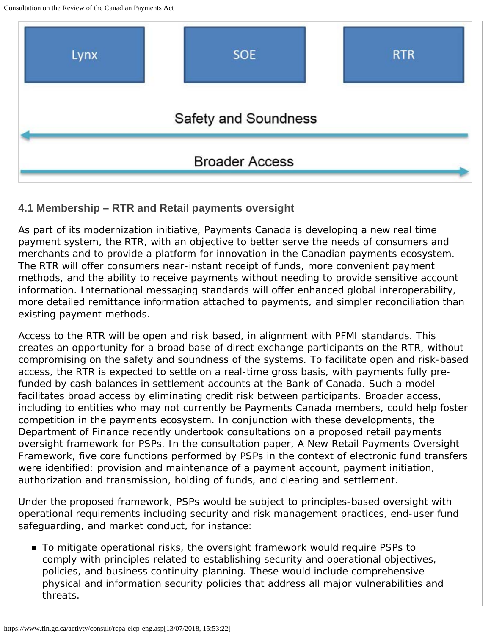Consultation on the Review of the Canadian Payments Act



### **4.1 Membership – RTR and Retail payments oversight**

As part of its modernization initiative, Payments Canada is developing a new real time payment system, the RTR, with an objective to better serve the needs of consumers and merchants and to provide a platform for innovation in the Canadian payments ecosystem. The RTR will offer consumers near-instant receipt of funds, more convenient payment methods, and the ability to receive payments without needing to provide sensitive account information. International messaging standards will offer enhanced global interoperability, more detailed remittance information attached to payments, and simpler reconciliation than existing payment methods.

Access to the RTR will be open and risk based, in alignment with PFMI standards. This creates an opportunity for a broad base of direct exchange participants on the RTR, without compromising on the safety and soundness of the systems. To facilitate open and risk-based access, the RTR is expected to settle on a real-time gross basis, with payments fully prefunded by cash balances in settlement accounts at the Bank of Canada. Such a model facilitates broad access by eliminating credit risk between participants. Broader access, including to entities who may not currently be Payments Canada members, could help foster competition in the payments ecosystem. In conjunction with these developments, the Department of Finance recently undertook consultations on a proposed retail payments oversight framework for PSPs. In the consultation paper, *A New Retail Payments Oversight Framework*, five core functions performed by PSPs in the context of electronic fund transfers were identified: provision and maintenance of a payment account, payment initiation, authorization and transmission, holding of funds, and clearing and settlement.

Under the proposed framework, PSPs would be subject to principles-based oversight with operational requirements including security and risk management practices, end-user fund safeguarding, and market conduct, for instance:

To mitigate operational risks, the oversight framework would require PSPs to comply with principles related to establishing security and operational objectives, policies, and business continuity planning. These would include comprehensive physical and information security policies that address all major vulnerabilities and threats.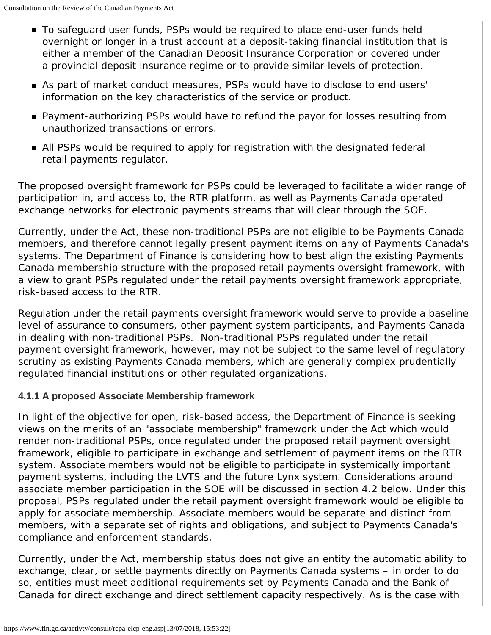- To safeguard user funds, PSPs would be required to place end-user funds held overnight or longer in a trust account at a deposit-taking financial institution that is either a member of the Canadian Deposit Insurance Corporation or covered under a provincial deposit insurance regime or to provide similar levels of protection.
- As part of market conduct measures, PSPs would have to disclose to end users' information on the key characteristics of the service or product.
- **Payment-authorizing PSPs would have to refund the payor for losses resulting from** unauthorized transactions or errors.
- All PSPs would be required to apply for registration with the designated federal retail payments regulator.

The proposed oversight framework for PSPs could be leveraged to facilitate a wider range of participation in, and access to, the RTR platform, as well as Payments Canada operated exchange networks for electronic payments streams that will clear through the SOE.

Currently, under the Act, these non-traditional PSPs are not eligible to be Payments Canada members, and therefore cannot legally present payment items on any of Payments Canada's systems. The Department of Finance is considering how to best align the existing Payments Canada membership structure with the proposed retail payments oversight framework, with a view to grant PSPs regulated under the retail payments oversight framework appropriate, risk-based access to the RTR.

Regulation under the retail payments oversight framework would serve to provide a baseline level of assurance to consumers, other payment system participants, and Payments Canada in dealing with non-traditional PSPs. Non-traditional PSPs regulated under the retail payment oversight framework, however, may not be subject to the same level of regulatory scrutiny as existing Payments Canada members, which are generally complex prudentially regulated financial institutions or other regulated organizations.

### **4.1.1 A proposed Associate Membership framework**

In light of the objective for open, risk-based access, the Department of Finance is seeking views on the merits of an "associate membership" framework under the Act which would render non-traditional PSPs, once regulated under the proposed retail payment oversight framework, eligible to participate in exchange and settlement of payment items on the RTR system. Associate members would not be eligible to participate in systemically important payment systems, including the LVTS and the future Lynx system. Considerations around associate member participation in the SOE will be discussed in section 4.2 below. Under this proposal, PSPs regulated under the retail payment oversight framework would be eligible to apply for associate membership. Associate members would be separate and distinct from members, with a separate set of rights and obligations, and subject to Payments Canada's compliance and enforcement standards.

Currently, under the Act, membership status does not give an entity the automatic ability to exchange, clear, or settle payments directly on Payments Canada systems – in order to do so, entities must meet additional requirements set by Payments Canada and the Bank of Canada for direct exchange and direct settlement capacity respectively. As is the case with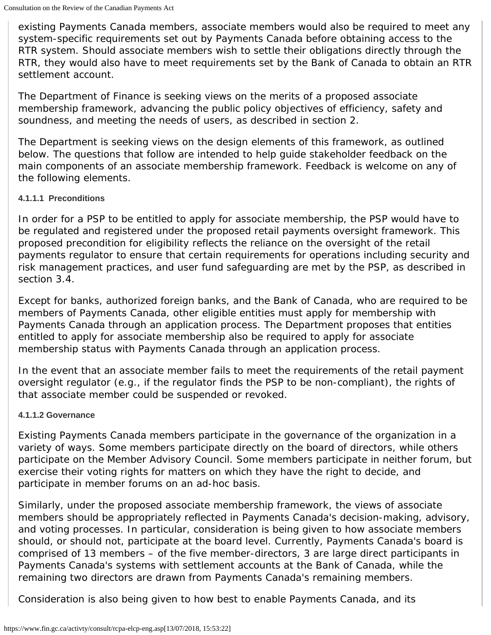existing Payments Canada members, associate members would also be required to meet any system-specific requirements set out by Payments Canada before obtaining access to the RTR system. Should associate members wish to settle their obligations directly through the RTR, they would also have to meet requirements set by the Bank of Canada to obtain an RTR settlement account.

The Department of Finance is seeking views on the merits of a proposed associate membership framework, advancing the public policy objectives of efficiency, safety and soundness, and meeting the needs of users, as described in section 2.

The Department is seeking views on the design elements of this framework, as outlined below. The questions that follow are intended to help guide stakeholder feedback on the main components of an associate membership framework. Feedback is welcome on any of the following elements.

#### **4.1.1.1 Preconditions**

In order for a PSP to be entitled to apply for associate membership, the PSP would have to be regulated and registered under the proposed retail payments oversight framework. This proposed precondition for eligibility reflects the reliance on the oversight of the retail payments regulator to ensure that certain requirements for operations including security and risk management practices, and user fund safeguarding are met by the PSP, as described in section 3.4.

Except for banks, authorized foreign banks, and the Bank of Canada, who are required to be members of Payments Canada, other eligible entities must apply for membership with Payments Canada through an application process. The Department proposes that entities entitled to apply for associate membership also be required to apply for associate membership status with Payments Canada through an application process.

In the event that an associate member fails to meet the requirements of the retail payment oversight regulator (e.g., if the regulator finds the PSP to be non-compliant), the rights of that associate member could be suspended or revoked.

#### **4.1.1.2 Governance**

Existing Payments Canada members participate in the governance of the organization in a variety of ways. Some members participate directly on the board of directors, while others participate on the Member Advisory Council. Some members participate in neither forum, but exercise their voting rights for matters on which they have the right to decide, and participate in member forums on an ad-hoc basis.

Similarly, under the proposed associate membership framework, the views of associate members should be appropriately reflected in Payments Canada's decision-making, advisory, and voting processes. In particular, consideration is being given to how associate members should, or should not, participate at the board level. Currently, Payments Canada's board is comprised of 13 members – of the five member-directors, 3 are large direct participants in Payments Canada's systems with settlement accounts at the Bank of Canada, while the remaining two directors are drawn from Payments Canada's remaining members.

Consideration is also being given to how best to enable Payments Canada, and its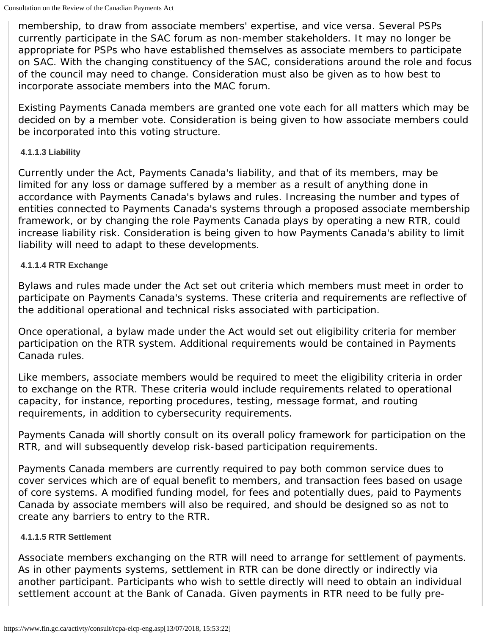membership, to draw from associate members' expertise, and vice versa. Several PSPs currently participate in the SAC forum as non-member stakeholders. It may no longer be appropriate for PSPs who have established themselves as associate members to participate on SAC. With the changing constituency of the SAC, considerations around the role and focus of the council may need to change. Consideration must also be given as to how best to incorporate associate members into the MAC forum.

Existing Payments Canada members are granted one vote each for all matters which may be decided on by a member vote. Consideration is being given to how associate members could be incorporated into this voting structure.

#### **4.1.1.3 Liability**

Currently under the Act, Payments Canada's liability, and that of its members, may be limited for any loss or damage suffered by a member as a result of anything done in accordance with Payments Canada's bylaws and rules. Increasing the number and types of entities connected to Payments Canada's systems through a proposed associate membership framework, or by changing the role Payments Canada plays by operating a new RTR, could increase liability risk. Consideration is being given to how Payments Canada's ability to limit liability will need to adapt to these developments.

#### **4.1.1.4 RTR Exchange**

Bylaws and rules made under the Act set out criteria which members must meet in order to participate on Payments Canada's systems. These criteria and requirements are reflective of the additional operational and technical risks associated with participation.

Once operational, a bylaw made under the Act would set out eligibility criteria for member participation on the RTR system. Additional requirements would be contained in Payments Canada rules.

Like members, associate members would be required to meet the eligibility criteria in order to exchange on the RTR. These criteria would include requirements related to operational capacity, for instance, reporting procedures, testing, message format, and routing requirements, in addition to cybersecurity requirements.

Payments Canada will shortly consult on its overall policy framework for participation on the RTR, and will subsequently develop risk-based participation requirements.

Payments Canada members are currently required to pay both common service dues to cover services which are of equal benefit to members, and transaction fees based on usage of core systems. A modified funding model, for fees and potentially dues, paid to Payments Canada by associate members will also be required, and should be designed so as not to create any barriers to entry to the RTR.

#### **4.1.1.5 RTR Settlement**

Associate members exchanging on the RTR will need to arrange for settlement of payments. As in other payments systems, settlement in RTR can be done directly or indirectly via another participant. Participants who wish to settle directly will need to obtain an individual settlement account at the Bank of Canada. Given payments in RTR need to be fully pre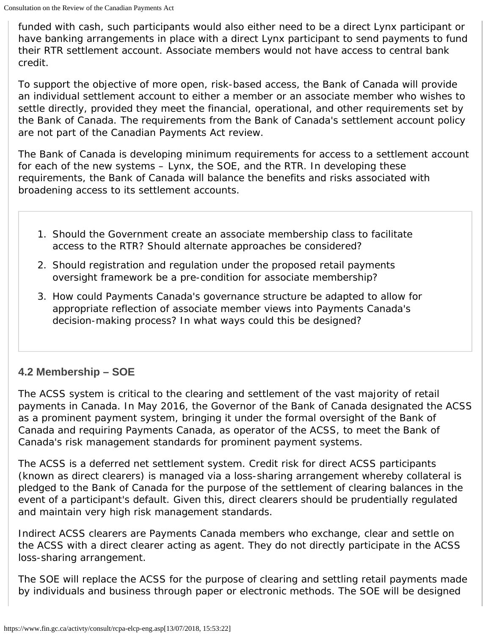funded with cash, such participants would also either need to be a direct Lynx participant or have banking arrangements in place with a direct Lynx participant to send payments to fund their RTR settlement account. Associate members would not have access to central bank credit.

To support the objective of more open, risk-based access, the Bank of Canada will provide an individual settlement account to either a member or an associate member who wishes to settle directly, provided they meet the financial, operational, and other requirements set by the Bank of Canada. The requirements from the Bank of Canada's settlement account policy are not part of the *Canadian Payments Act* review.

The Bank of Canada is developing minimum requirements for access to a settlement account for each of the new systems – Lynx, the SOE, and the RTR. In developing these requirements, the Bank of Canada will balance the benefits and risks associated with broadening access to its settlement accounts.

- 1. *Should the Government create an associate membership class to facilitate access to the RTR? Should alternate approaches be considered?*
- 2. *Should registration and regulation under the proposed retail payments oversight framework be a pre-condition for associate membership?*
- 3. *How could Payments Canada's governance structure be adapted to allow for appropriate reflection of associate member views into Payments Canada's decision-making process? In what ways could this be designed?*

# **4.2 Membership – SOE**

The ACSS system is critical to the clearing and settlement of the vast majority of retail payments in Canada. In May 2016, the Governor of the Bank of Canada designated the ACSS as a prominent payment system, bringing it under the formal oversight of the Bank of Canada and requiring Payments Canada, as operator of the ACSS, to meet the Bank of Canada's risk management standards for prominent payment systems.

The ACSS is a deferred net settlement system. Credit risk for direct ACSS participants (known as direct clearers) is managed via a loss-sharing arrangement whereby collateral is pledged to the Bank of Canada for the purpose of the settlement of clearing balances in the event of a participant's default. Given this, direct clearers should be prudentially regulated and maintain very high risk management standards.

Indirect ACSS clearers are Payments Canada members who exchange, clear and settle on the ACSS with a direct clearer acting as agent. They do not directly participate in the ACSS loss-sharing arrangement.

The SOE will replace the ACSS for the purpose of clearing and settling retail payments made by individuals and business through paper or electronic methods. The SOE will be designed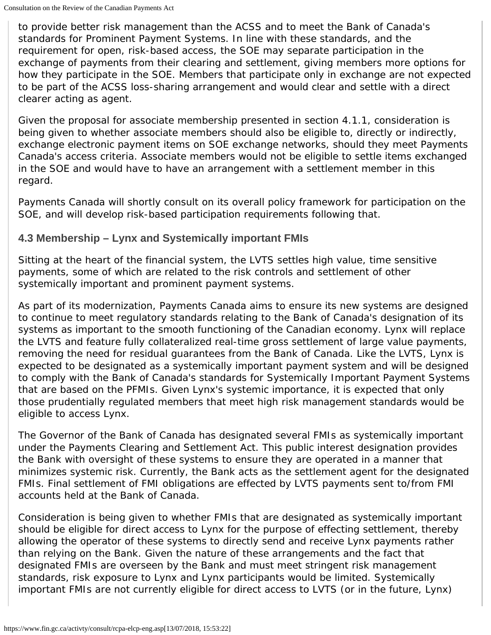to provide better risk management than the ACSS and to meet the Bank of Canada's standards for Prominent Payment Systems. In line with these standards, and the requirement for open, risk-based access, the SOE may separate participation in the exchange of payments from their clearing and settlement, giving members more options for how they participate in the SOE. Members that participate only in exchange are not expected to be part of the ACSS loss-sharing arrangement and would clear and settle with a direct clearer acting as agent.

Given the proposal for associate membership presented in section 4.1.1, consideration is being given to whether associate members should also be eligible to, directly or indirectly, exchange electronic payment items on SOE exchange networks, should they meet Payments Canada's access criteria. Associate members would not be eligible to settle items exchanged in the SOE and would have to have an arrangement with a settlement member in this regard.

Payments Canada will shortly consult on its overall policy framework for participation on the SOE, and will develop risk-based participation requirements following that.

### **4.3 Membership – Lynx and Systemically important FMIs**

Sitting at the heart of the financial system, the LVTS settles high value, time sensitive payments, some of which are related to the risk controls and settlement of other systemically important and prominent payment systems.

As part of its modernization, Payments Canada aims to ensure its new systems are designed to continue to meet regulatory standards relating to the Bank of Canada's designation of its systems as important to the smooth functioning of the Canadian economy. Lynx will replace the LVTS and feature fully collateralized real-time gross settlement of large value payments, removing the need for residual guarantees from the Bank of Canada. Like the LVTS, Lynx is expected to be designated as a systemically important payment system and will be designed to comply with the Bank of Canada's standards for Systemically Important Payment Systems that are based on the PFMIs. Given Lynx's systemic importance, it is expected that only those prudentially regulated members that meet high risk management standards would be eligible to access Lynx.

The Governor of the Bank of Canada has designated several FMIs as systemically important under the *Payments Clearing and Settlement Act*. This public interest designation provides the Bank with oversight of these systems to ensure they are operated in a manner that minimizes systemic risk. Currently, the Bank acts as the settlement agent for the designated FMIs. Final settlement of FMI obligations are effected by LVTS payments sent to/from FMI accounts held at the Bank of Canada.

Consideration is being given to whether FMIs that are designated as systemically important should be eligible for direct access to Lynx for the purpose of effecting settlement, thereby allowing the operator of these systems to directly send and receive Lynx payments rather than relying on the Bank. Given the nature of these arrangements and the fact that designated FMIs are overseen by the Bank and must meet stringent risk management standards, risk exposure to Lynx and Lynx participants would be limited. Systemically important FMIs are not currently eligible for direct access to LVTS (or in the future, Lynx)